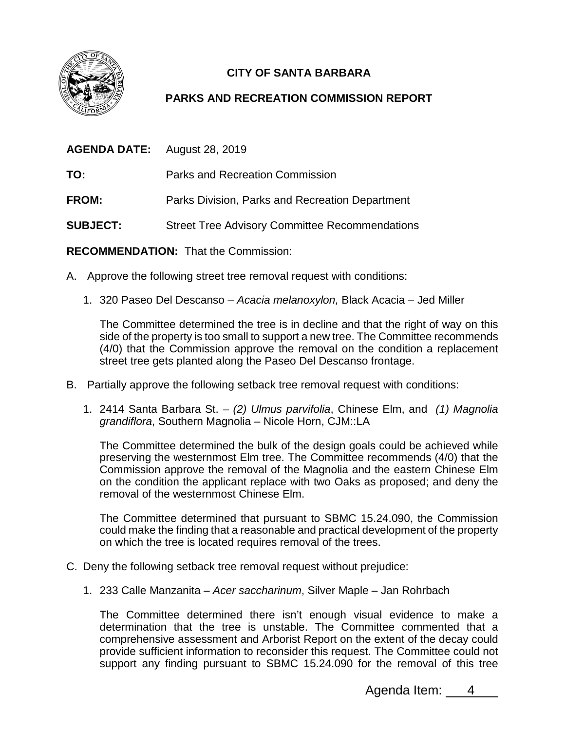

## **CITY OF SANTA BARBARA**

## **PARKS AND RECREATION COMMISSION REPORT**

| <b>AGENDA DATE:</b> August 28, 2019 |                                                       |
|-------------------------------------|-------------------------------------------------------|
| TO:                                 | Parks and Recreation Commission                       |
| <b>FROM:</b>                        | Parks Division, Parks and Recreation Department       |
| <b>SUBJECT:</b>                     | <b>Street Tree Advisory Committee Recommendations</b> |

**RECOMMENDATION:** That the Commission:

- A. Approve the following street tree removal request with conditions:
	- 1. 320 Paseo Del Descanso *Acacia melanoxylon,* Black Acacia *–* Jed Miller

The Committee determined the tree is in decline and that the right of way on this side of the property is too small to support a new tree. The Committee recommends (4/0) that the Commission approve the removal on the condition a replacement street tree gets planted along the Paseo Del Descanso frontage.

- B. Partially approve the following setback tree removal request with conditions:
	- 1. 2414 Santa Barbara St. *(2) Ulmus parvifolia*, Chinese Elm, and *(1) Magnolia grandiflora*, Southern Magnolia – Nicole Horn, CJM::LA

The Committee determined the bulk of the design goals could be achieved while preserving the westernmost Elm tree. The Committee recommends (4/0) that the Commission approve the removal of the Magnolia and the eastern Chinese Elm on the condition the applicant replace with two Oaks as proposed; and deny the removal of the westernmost Chinese Elm.

The Committee determined that pursuant to SBMC 15.24.090, the Commission could make the finding that a reasonable and practical development of the property on which the tree is located requires removal of the trees.

- C. Deny the following setback tree removal request without prejudice:
	- 1. 233 Calle Manzanita *Acer saccharinum*, Silver Maple Jan Rohrbach

The Committee determined there isn't enough visual evidence to make a determination that the tree is unstable. The Committee commented that a comprehensive assessment and Arborist Report on the extent of the decay could provide sufficient information to reconsider this request. The Committee could not support any finding pursuant to SBMC 15.24.090 for the removal of this tree

Agenda Item: 4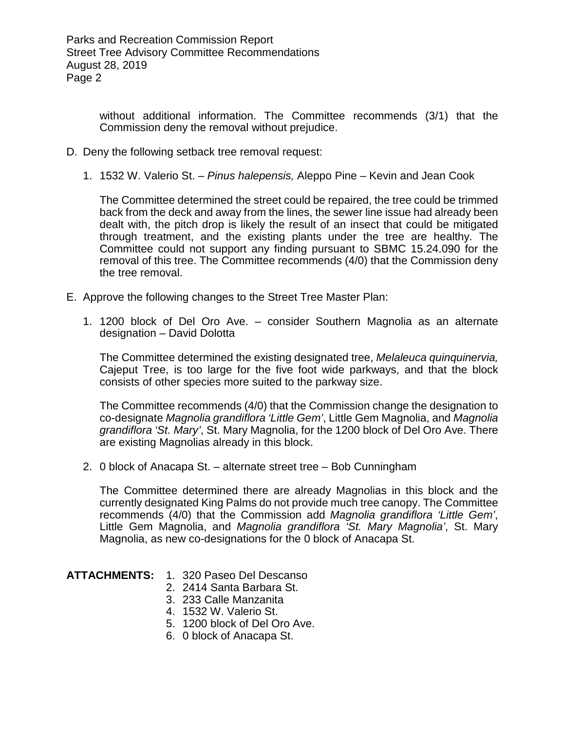without additional information. The Committee recommends (3/1) that the Commission deny the removal without prejudice.

- D. Deny the following setback tree removal request:
	- 1. 1532 W. Valerio St. *Pinus halepensis,* Aleppo Pine Kevin and Jean Cook

The Committee determined the street could be repaired, the tree could be trimmed back from the deck and away from the lines, the sewer line issue had already been dealt with, the pitch drop is likely the result of an insect that could be mitigated through treatment, and the existing plants under the tree are healthy. The Committee could not support any finding pursuant to SBMC 15.24.090 for the removal of this tree. The Committee recommends (4/0) that the Commission deny the tree removal.

- E. Approve the following changes to the Street Tree Master Plan:
	- 1. 1200 block of Del Oro Ave. consider Southern Magnolia as an alternate designation – David Dolotta

The Committee determined the existing designated tree, *Melaleuca quinquinervia,* Cajeput Tree, is too large for the five foot wide parkways, and that the block consists of other species more suited to the parkway size.

The Committee recommends (4/0) that the Commission change the designation to co-designate *Magnolia grandiflora 'Little Gem'*, Little Gem Magnolia, and *Magnolia grandiflora 'St. Mary'*, St. Mary Magnolia, for the 1200 block of Del Oro Ave. There are existing Magnolias already in this block.

2. 0 block of Anacapa St. – alternate street tree – Bob Cunningham

The Committee determined there are already Magnolias in this block and the currently designated King Palms do not provide much tree canopy. The Committee recommends (4/0) that the Commission add *Magnolia grandiflora 'Little Gem'*, Little Gem Magnolia, and *Magnolia grandiflora 'St. Mary Magnolia'*, St. Mary Magnolia, as new co-designations for the 0 block of Anacapa St.

- **ATTACHMENTS:** 1. 320 Paseo Del Descanso
	- 2. 2414 Santa Barbara St.
	- 3. 233 Calle Manzanita
	- 4. 1532 W. Valerio St.
	- 5. 1200 block of Del Oro Ave.
	- 6. 0 block of Anacapa St.